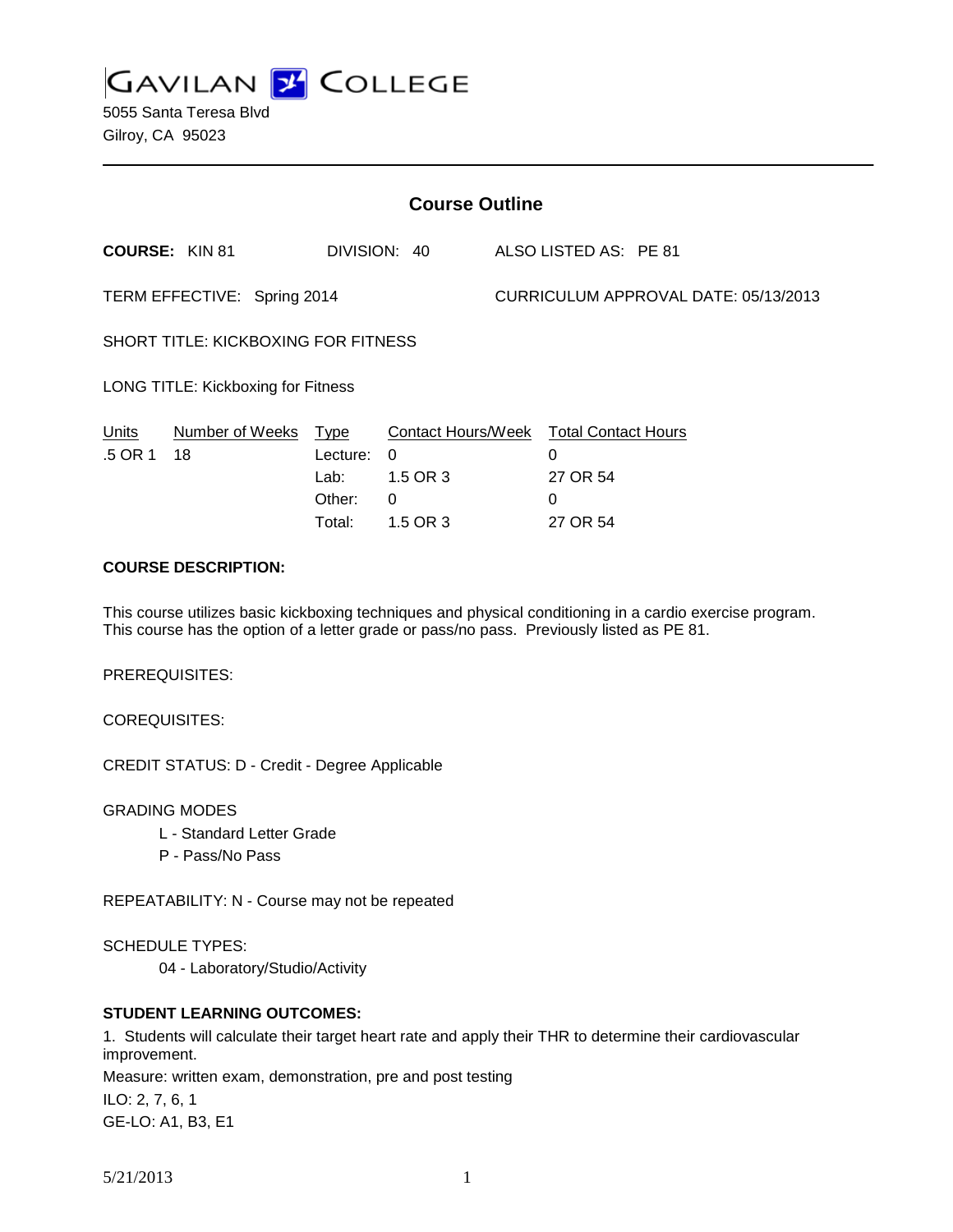**GAVILAN J COLLEGE** 

| <b>Course Outline</b>               |                       |                                      |                                  |                                      |                                                                          |  |
|-------------------------------------|-----------------------|--------------------------------------|----------------------------------|--------------------------------------|--------------------------------------------------------------------------|--|
|                                     | <b>COURSE: KIN 81</b> |                                      |                                  |                                      | DIVISION: 40 ALSO LISTED AS: PE 81                                       |  |
| TERM EFFECTIVE: Spring 2014         |                       |                                      |                                  | CURRICULUM APPROVAL DATE: 05/13/2013 |                                                                          |  |
| SHORT TITLE: KICKBOXING FOR FITNESS |                       |                                      |                                  |                                      |                                                                          |  |
| LONG TITLE: Kickboxing for Fitness  |                       |                                      |                                  |                                      |                                                                          |  |
| <u>Units</u><br>.5 OR 1 18          | Number of Weeks Type  | Lecture:<br>Lab:<br>Other:<br>Total: | 0<br>1.5 OR 3<br>0<br>$1.5$ OR 3 |                                      | Contact Hours/Week Total Contact Hours<br>0<br>27 OR 54<br>0<br>27 OR 54 |  |
| <b>COURSE DESCRIPTION:</b>          |                       |                                      |                                  |                                      |                                                                          |  |

This course utilizes basic kickboxing techniques and physical conditioning in a cardio exercise program. This course has the option of a letter grade or pass/no pass. Previously listed as PE 81.

PREREQUISITES:

COREQUISITES:

CREDIT STATUS: D - Credit - Degree Applicable

GRADING MODES

- L Standard Letter Grade
- P Pass/No Pass

REPEATABILITY: N - Course may not be repeated

SCHEDULE TYPES:

04 - Laboratory/Studio/Activity

## **STUDENT LEARNING OUTCOMES:**

1. Students will calculate their target heart rate and apply their THR to determine their cardiovascular improvement.

Measure: written exam, demonstration, pre and post testing ILO: 2, 7, 6, 1 GE-LO: A1, B3, E1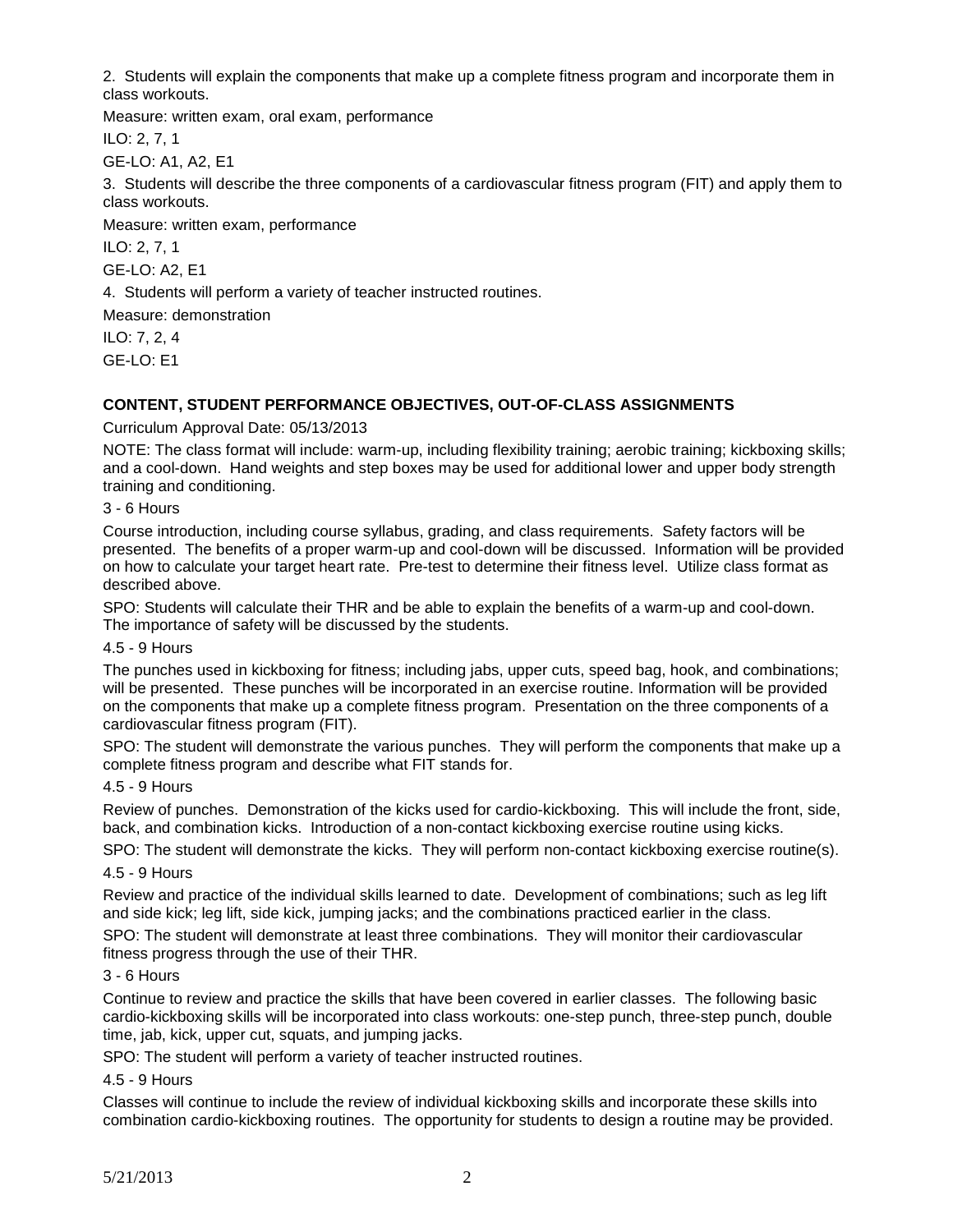2. Students will explain the components that make up a complete fitness program and incorporate them in class workouts.

Measure: written exam, oral exam, performance

ILO: 2, 7, 1

GE-LO: A1, A2, E1

3. Students will describe the three components of a cardiovascular fitness program (FIT) and apply them to class workouts.

Measure: written exam, performance

ILO: 2, 7, 1

GE-LO: A2, E1

4. Students will perform a variety of teacher instructed routines.

Measure: demonstration

ILO: 7, 2, 4 GE-LO: E1

# **CONTENT, STUDENT PERFORMANCE OBJECTIVES, OUT-OF-CLASS ASSIGNMENTS**

Curriculum Approval Date: 05/13/2013

NOTE: The class format will include: warm-up, including flexibility training; aerobic training; kickboxing skills; and a cool-down. Hand weights and step boxes may be used for additional lower and upper body strength training and conditioning.

## 3 - 6 Hours

Course introduction, including course syllabus, grading, and class requirements. Safety factors will be presented. The benefits of a proper warm-up and cool-down will be discussed. Information will be provided on how to calculate your target heart rate. Pre-test to determine their fitness level. Utilize class format as described above.

SPO: Students will calculate their THR and be able to explain the benefits of a warm-up and cool-down. The importance of safety will be discussed by the students.

4.5 - 9 Hours

The punches used in kickboxing for fitness; including jabs, upper cuts, speed bag, hook, and combinations; will be presented. These punches will be incorporated in an exercise routine. Information will be provided on the components that make up a complete fitness program. Presentation on the three components of a cardiovascular fitness program (FIT).

SPO: The student will demonstrate the various punches. They will perform the components that make up a complete fitness program and describe what FIT stands for.

### 4.5 - 9 Hours

Review of punches. Demonstration of the kicks used for cardio-kickboxing. This will include the front, side, back, and combination kicks. Introduction of a non-contact kickboxing exercise routine using kicks.

SPO: The student will demonstrate the kicks. They will perform non-contact kickboxing exercise routine(s).

4.5 - 9 Hours

Review and practice of the individual skills learned to date. Development of combinations; such as leg lift and side kick; leg lift, side kick, jumping jacks; and the combinations practiced earlier in the class.

SPO: The student will demonstrate at least three combinations. They will monitor their cardiovascular fitness progress through the use of their THR.

### 3 - 6 Hours

Continue to review and practice the skills that have been covered in earlier classes. The following basic cardio-kickboxing skills will be incorporated into class workouts: one-step punch, three-step punch, double time, jab, kick, upper cut, squats, and jumping jacks.

SPO: The student will perform a variety of teacher instructed routines.

### 4.5 - 9 Hours

Classes will continue to include the review of individual kickboxing skills and incorporate these skills into combination cardio-kickboxing routines. The opportunity for students to design a routine may be provided.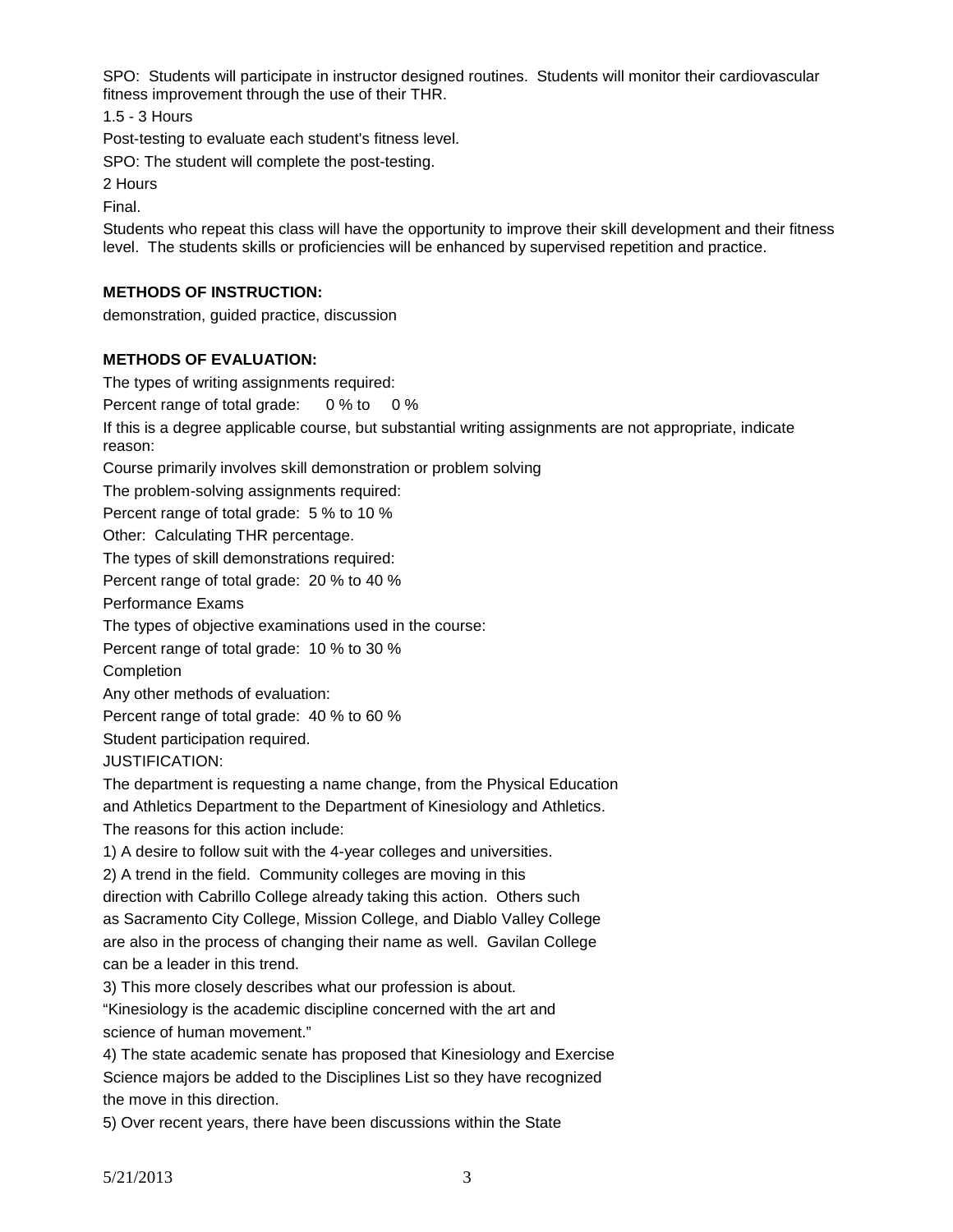SPO: Students will participate in instructor designed routines. Students will monitor their cardiovascular fitness improvement through the use of their THR.

1.5 - 3 Hours

Post-testing to evaluate each student's fitness level.

SPO: The student will complete the post-testing.

2 Hours

Final.

Students who repeat this class will have the opportunity to improve their skill development and their fitness level. The students skills or proficiencies will be enhanced by supervised repetition and practice.

# **METHODS OF INSTRUCTION:**

demonstration, guided practice, discussion

# **METHODS OF EVALUATION:**

The types of writing assignments required:

Percent range of total grade: 0 % to 0 %

If this is a degree applicable course, but substantial writing assignments are not appropriate, indicate reason:

Course primarily involves skill demonstration or problem solving

The problem-solving assignments required:

Percent range of total grade: 5 % to 10 %

Other: Calculating THR percentage.

The types of skill demonstrations required:

Percent range of total grade: 20 % to 40 %

Performance Exams

The types of objective examinations used in the course:

Percent range of total grade: 10 % to 30 %

**Completion** 

Any other methods of evaluation:

Percent range of total grade: 40 % to 60 %

Student participation required.

JUSTIFICATION:

The department is requesting a name change, from the Physical Education and Athletics Department to the Department of Kinesiology and Athletics.

The reasons for this action include:

1) A desire to follow suit with the 4-year colleges and universities.

2) A trend in the field. Community colleges are moving in this

direction with Cabrillo College already taking this action. Others such as Sacramento City College, Mission College, and Diablo Valley College are also in the process of changing their name as well. Gavilan College can be a leader in this trend.

3) This more closely describes what our profession is about.

"Kinesiology is the academic discipline concerned with the art and science of human movement."

4) The state academic senate has proposed that Kinesiology and Exercise Science majors be added to the Disciplines List so they have recognized the move in this direction.

5) Over recent years, there have been discussions within the State